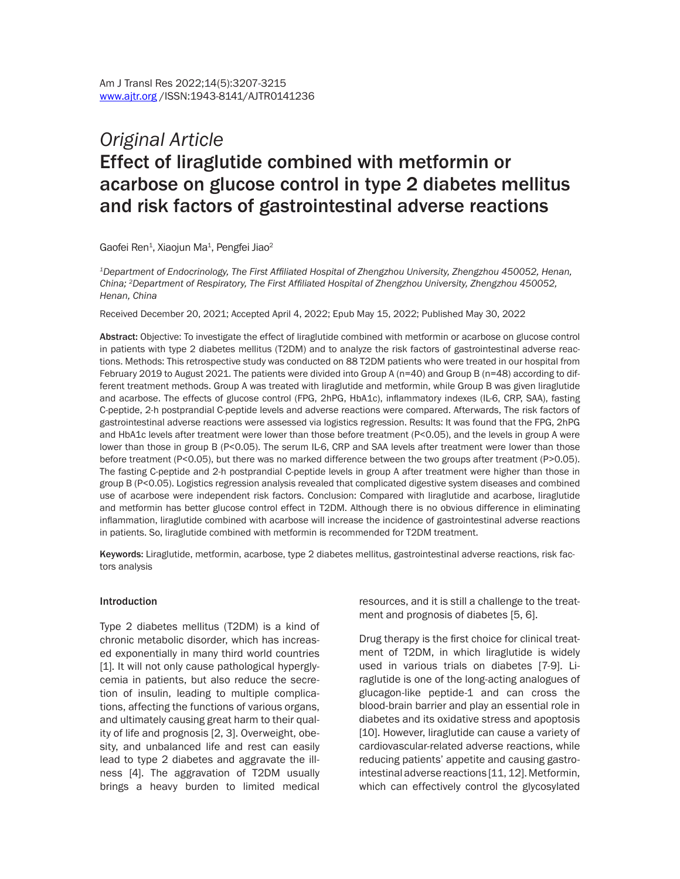# *Original Article* Effect of liraglutide combined with metformin or acarbose on glucose control in type 2 diabetes mellitus and risk factors of gastrointestinal adverse reactions

Gaofei Ren $^1$ , Xiaojun Ma $^1$ , Pengfei Jiao $^2$ 

*<sup>1</sup>Department of Endocrinology, The First Affiliated Hospital of Zhengzhou University, Zhengzhou 450052, Henan, China; 2Department of Respiratory, The First Affiliated Hospital of Zhengzhou University, Zhengzhou 450052, Henan, China*

Received December 20, 2021; Accepted April 4, 2022; Epub May 15, 2022; Published May 30, 2022

Abstract: Objective: To investigate the effect of liraglutide combined with metformin or acarbose on glucose control in patients with type 2 diabetes mellitus (T2DM) and to analyze the risk factors of gastrointestinal adverse reactions. Methods: This retrospective study was conducted on 88 T2DM patients who were treated in our hospital from February 2019 to August 2021. The patients were divided into Group A (n=40) and Group B (n=48) according to different treatment methods. Group A was treated with liraglutide and metformin, while Group B was given liraglutide and acarbose. The effects of glucose control (FPG, 2hPG, HbA1c), inflammatory indexes (IL-6, CRP, SAA), fasting C-peptide, 2-h postprandial C-peptide levels and adverse reactions were compared. Afterwards, The risk factors of gastrointestinal adverse reactions were assessed via logistics regression. Results: It was found that the FPG, 2hPG and HbA1c levels after treatment were lower than those before treatment (P<0.05), and the levels in group A were lower than those in group B (P<0.05). The serum IL-6, CRP and SAA levels after treatment were lower than those before treatment (P<0.05), but there was no marked difference between the two groups after treatment (P>0.05). The fasting C-peptide and 2-h postprandial C-peptide levels in group A after treatment were higher than those in group B (P<0.05). Logistics regression analysis revealed that complicated digestive system diseases and combined use of acarbose were independent risk factors. Conclusion: Compared with liraglutide and acarbose, liraglutide and metformin has better glucose control effect in T2DM. Although there is no obvious difference in eliminating inflammation, liraglutide combined with acarbose will increase the incidence of gastrointestinal adverse reactions in patients. So, liraglutide combined with metformin is recommended for T2DM treatment.

Keywords: Liraglutide, metformin, acarbose, type 2 diabetes mellitus, gastrointestinal adverse reactions, risk factors analysis

#### **Introduction**

Type 2 diabetes mellitus (T2DM) is a kind of chronic metabolic disorder, which has increased exponentially in many third world countries [1]. It will not only cause pathological hyperglycemia in patients, but also reduce the secretion of insulin, leading to multiple complications, affecting the functions of various organs, and ultimately causing great harm to their quality of life and prognosis [2, 3]. Overweight, obesity, and unbalanced life and rest can easily lead to type 2 diabetes and aggravate the illness [4]. The aggravation of T2DM usually brings a heavy burden to limited medical resources, and it is still a challenge to the treatment and prognosis of diabetes [5, 6].

Drug therapy is the first choice for clinical treatment of T2DM, in which liraglutide is widely used in various trials on diabetes [7-9]. Liraglutide is one of the long-acting analogues of glucagon-like peptide-1 and can cross the blood-brain barrier and play an essential role in diabetes and its oxidative stress and apoptosis [10]. However, liraglutide can cause a variety of cardiovascular-related adverse reactions, while reducing patients' appetite and causing gastrointestinal adverse reactions [11, 12]. Metformin, which can effectively control the glycosylated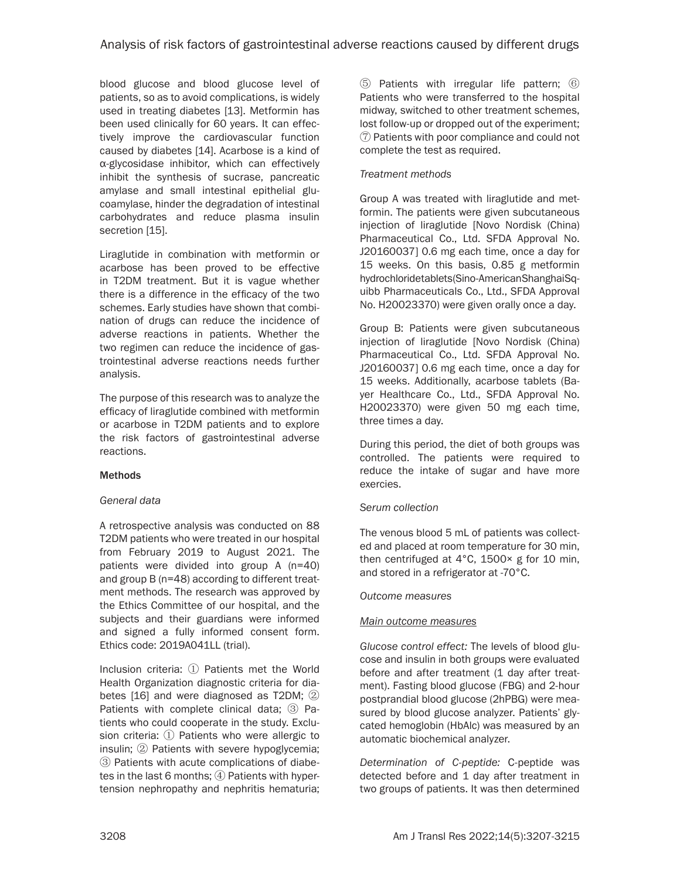blood glucose and blood glucose level of patients, so as to avoid complications, is widely used in treating diabetes [13]. Metformin has been used clinically for 60 years. It can effectively improve the cardiovascular function caused by diabetes [14]. Acarbose is a kind of α-glycosidase inhibitor, which can effectively inhibit the synthesis of sucrase, pancreatic amylase and small intestinal epithelial glucoamylase, hinder the degradation of intestinal carbohydrates and reduce plasma insulin secretion [15].

Liraglutide in combination with metformin or acarbose has been proved to be effective in T2DM treatment. But it is vague whether there is a difference in the efficacy of the two schemes. Early studies have shown that combination of drugs can reduce the incidence of adverse reactions in patients. Whether the two regimen can reduce the incidence of gastrointestinal adverse reactions needs further analysis.

The purpose of this research was to analyze the efficacy of liraglutide combined with metformin or acarbose in T2DM patients and to explore the risk factors of gastrointestinal adverse reactions.

# **Methods**

# *General data*

A retrospective analysis was conducted on 88 T2DM patients who were treated in our hospital from February 2019 to August 2021. The patients were divided into group A (n=40) and group B (n=48) according to different treatment methods. The research was approved by the Ethics Committee of our hospital, and the subjects and their guardians were informed and signed a fully informed consent form. Ethics code: 2019A041LL (trial).

Inclusion criteria: ① Patients met the World Health Organization diagnostic criteria for diabetes [16] and were diagnosed as T2DM; ② Patients with complete clinical data; ③ Patients who could cooperate in the study. Exclusion criteria: ① Patients who were allergic to insulin; ② Patients with severe hypoglycemia; ③ Patients with acute complications of diabetes in the last 6 months; ④ Patients with hypertension nephropathy and nephritis hematuria; ⑤ Patients with irregular life pattern; ⑥ Patients who were transferred to the hospital midway, switched to other treatment schemes, lost follow-up or dropped out of the experiment; ⑦ Patients with poor compliance and could not complete the test as required.

# *Treatment methods*

Group A was treated with liraglutide and metformin. The patients were given subcutaneous injection of liraglutide [Novo Nordisk (China) Pharmaceutical Co., Ltd. SFDA Approval No. J20160037] 0.6 mg each time, once a day for 15 weeks. On this basis, 0.85 g metformin hydrochloride tablets (Sino-American Shanghai Squibb Pharmaceuticals Co., Ltd., SFDA Approval No. H20023370) were given orally once a day.

Group B: Patients were given subcutaneous injection of liraglutide [Novo Nordisk (China) Pharmaceutical Co., Ltd. SFDA Approval No. J20160037] 0.6 mg each time, once a day for 15 weeks. Additionally, acarbose tablets (Bayer Healthcare Co., Ltd., SFDA Approval No. H20023370) were given 50 mg each time, three times a day.

During this period, the diet of both groups was controlled. The patients were required to reduce the intake of sugar and have more exercies.

# *Serum collection*

The venous blood 5 mL of patients was collected and placed at room temperature for 30 min, then centrifuged at 4°C, 1500× g for 10 min, and stored in a refrigerator at -70°C.

## *Outcome measures*

# *Main outcome measures*

*Glucose control effect:* The levels of blood glucose and insulin in both groups were evaluated before and after treatment (1 day after treatment). Fasting blood glucose (FBG) and 2-hour postprandial blood glucose (2hPBG) were measured by blood glucose analyzer. Patients' glycated hemoglobin (HbAlc) was measured by an automatic biochemical analyzer.

*Determination of C-peptide:* C-peptide was detected before and 1 day after treatment in two groups of patients. It was then determined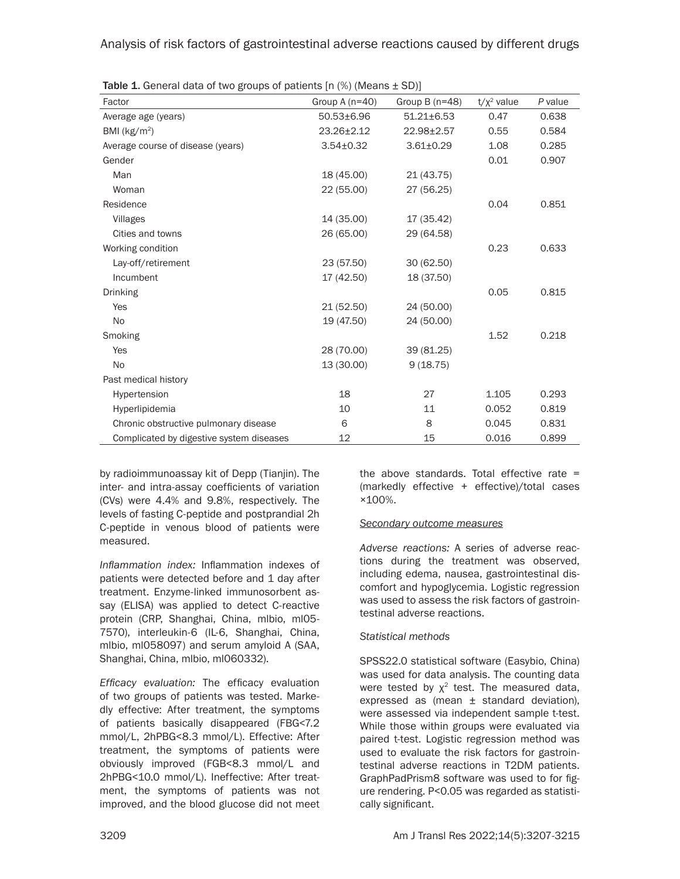Analysis of risk factors of gastrointestinal adverse reactions caused by different drugs

| $\frac{1}{2}$ . The state of the state of patients in (iv) (include $\frac{1}{2}$ or |                  |                  |               |         |  |  |
|--------------------------------------------------------------------------------------|------------------|------------------|---------------|---------|--|--|
| Factor                                                                               | Group A $(n=40)$ | Group B $(n=48)$ | $t/x^2$ value | P value |  |  |
| Average age (years)                                                                  | 50.53±6.96       | $51.21 \pm 6.53$ | 0.47          | 0.638   |  |  |
| BMI ( $kg/m2$ )                                                                      | 23.26±2.12       | 22.98±2.57       | 0.55          | 0.584   |  |  |
| Average course of disease (years)                                                    | $3.54 \pm 0.32$  | $3.61 \pm 0.29$  | 1.08          | 0.285   |  |  |
| Gender                                                                               |                  |                  | 0.01          | 0.907   |  |  |
| Man                                                                                  | 18 (45.00)       | 21 (43.75)       |               |         |  |  |
| Woman                                                                                | 22 (55.00)       | 27 (56.25)       |               |         |  |  |
| Residence                                                                            |                  |                  | 0.04          | 0.851   |  |  |
| Villages                                                                             | 14 (35.00)       | 17 (35.42)       |               |         |  |  |
| Cities and towns                                                                     | 26 (65.00)       | 29 (64.58)       |               |         |  |  |
| Working condition                                                                    |                  |                  | 0.23          | 0.633   |  |  |
| Lay-off/retirement                                                                   | 23 (57.50)       | 30 (62.50)       |               |         |  |  |
| Incumbent                                                                            | 17 (42.50)       | 18 (37.50)       |               |         |  |  |
| <b>Drinking</b>                                                                      |                  |                  | 0.05          | 0.815   |  |  |
| <b>Yes</b>                                                                           | 21(52.50)        | 24 (50.00)       |               |         |  |  |
| <b>No</b>                                                                            | 19 (47.50)       | 24 (50.00)       |               |         |  |  |
| Smoking                                                                              |                  |                  | 1.52          | 0.218   |  |  |
| Yes                                                                                  | 28 (70.00)       | 39 (81.25)       |               |         |  |  |
| No                                                                                   | 13 (30.00)       | 9(18.75)         |               |         |  |  |
| Past medical history                                                                 |                  |                  |               |         |  |  |
| Hypertension                                                                         | 18               | 27               | 1.105         | 0.293   |  |  |
| Hyperlipidemia                                                                       | 10               | 11               | 0.052         | 0.819   |  |  |
| Chronic obstructive pulmonary disease                                                | 6                | 8                | 0.045         | 0.831   |  |  |
| Complicated by digestive system diseases                                             | 12               | 15               | 0.016         | 0.899   |  |  |

**Table 1.** General data of two groups of patients  $[n \ (\%)$  (Means  $+$  SD) $]$ 

by radioimmunoassay kit of Depp (Tianjin). The inter- and intra-assay coefficients of variation (CVs) were 4.4% and 9.8%, respectively. The levels of fasting C-peptide and postprandial 2h C-peptide in venous blood of patients were measured.

*Inflammation index:* Inflammation indexes of patients were detected before and 1 day after treatment. Enzyme-linked immunosorbent assay (ELISA) was applied to detect C-reactive protein (CRP, Shanghai, China, mlbio, ml05- 7570), interleukin-6 (IL-6, Shanghai, China, mlbio, ml058097) and serum amyloid A (SAA, Shanghai, China, mlbio, ml060332).

*Efficacy evaluation:* The efficacy evaluation of two groups of patients was tested. Markedly effective: After treatment, the symptoms of patients basically disappeared (FBG<7.2 mmol/L, 2hPBG<8.3 mmol/L). Effective: After treatment, the symptoms of patients were obviously improved (FGB<8.3 mmol/L and 2hPBG<10.0 mmol/L). Ineffective: After treatment, the symptoms of patients was not improved, and the blood glucose did not meet the above standards. Total effective rate = (markedly effective + effective)/total cases ×100%.

## *Secondary outcome measures*

*Adverse reactions:* A series of adverse reactions during the treatment was observed, including edema, nausea, gastrointestinal discomfort and hypoglycemia. Logistic regression was used to assess the risk factors of gastrointestinal adverse reactions.

## *Statistical methods*

SPSS22.0 statistical software (Easybio, China) was used for data analysis. The counting data were tested by  $\chi^2$  test. The measured data, expressed as (mean  $\pm$  standard deviation), were assessed via independent sample t-test. While those within groups were evaluated via paired t-test. Logistic regression method was used to evaluate the risk factors for gastrointestinal adverse reactions in T2DM patients. GraphPadPrism8 software was used to for figure rendering. P<0.05 was regarded as statistically significant.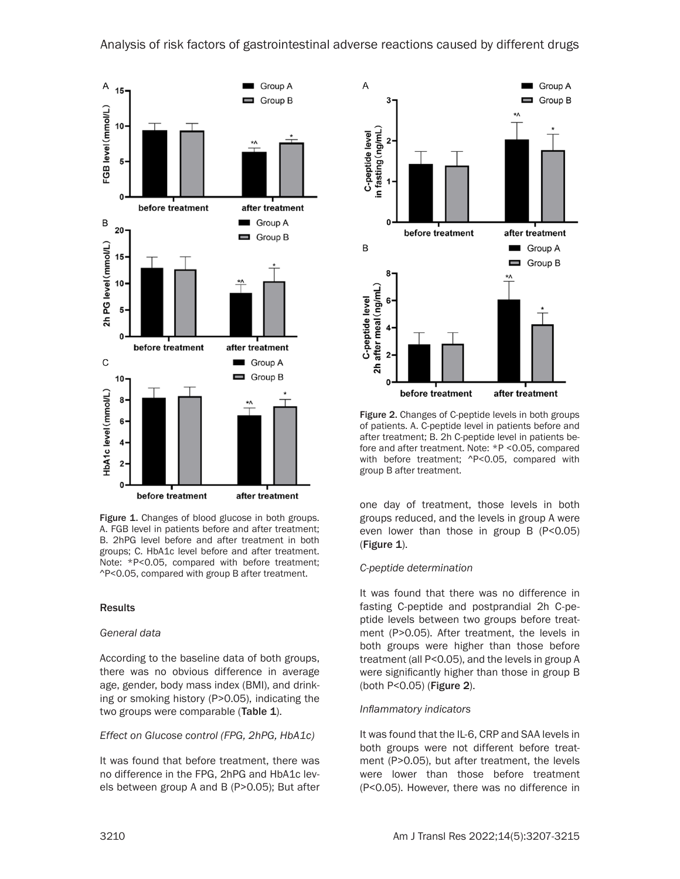

Figure 1. Changes of blood glucose in both groups. A. FGB level in patients before and after treatment; B. 2hPG level before and after treatment in both groups; C. HbA1c level before and after treatment. Note: \*P<0.05, compared with before treatment; ^P<0.05, compared with group B after treatment.

## **Results**

## *General data*

According to the baseline data of both groups, there was no obvious difference in average age, gender, body mass index (BMI), and drinking or smoking history (P>0.05), indicating the two groups were comparable (Table 1).

## *Effect on Glucose control (FPG, 2hPG, HbA1c)*

It was found that before treatment, there was no difference in the FPG, 2hPG and HbA1c levels between group A and B (P>0.05); But after



Figure 2. Changes of C-peptide levels in both groups of patients. A. C-peptide level in patients before and after treatment; B. 2h C-peptide level in patients before and after treatment. Note: \*P <0.05, compared with before treatment; ^P<0.05, compared with group B after treatment.

one day of treatment, those levels in both groups reduced, and the levels in group A were even lower than those in group B (P<0.05) (Figure 1).

## *C-peptide determination*

It was found that there was no difference in fasting C-peptide and postprandial 2h C-peptide levels between two groups before treatment (P>0.05). After treatment, the levels in both groups were higher than those before treatment (all P<0.05), and the levels in group A were significantly higher than those in group B (both P<0.05) (Figure 2).

## *Inflammatory indicators*

It was found that the IL-6, CRP and SAA levels in both groups were not different before treatment (P>0.05), but after treatment, the levels were lower than those before treatment (P<0.05). However, there was no difference in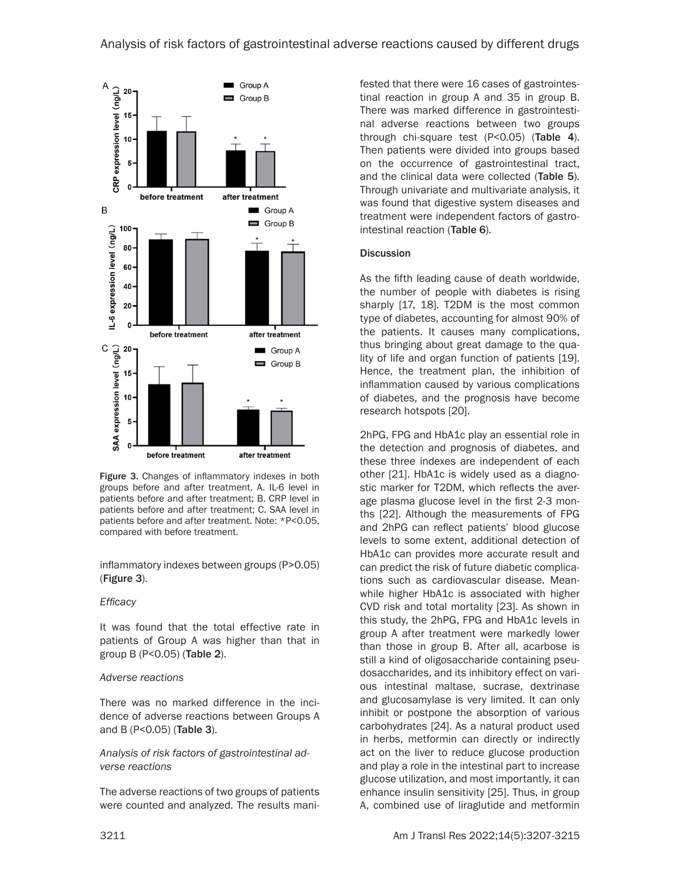

Figure 3. Changes of inflammatory indexes in both groups before and after treatment. A. IL-6 level in patients before and after treatment; B. CRP level in patients before and after treatment; C. SAA level in patients before and after treatment. Note: \*P<0.05, compared with before treatment.

inflammatory indexes between groups (P>0.05) (Figure 3).

## *Efficacy*

It was found that the total effective rate in patients of Group A was higher than that in group B (P<0.05) (Table 2).

# *Adverse reactions*

There was no marked difference in the incidence of adverse reactions between Groups A and B (P<0.05) (Table 3).

*Analysis of risk factors of gastrointestinal adverse reactions*

The adverse reactions of two groups of patients were counted and analyzed. The results manifested that there were 16 cases of gastrointestinal reaction in group A and 35 in group B. There was marked difference in gastrointestinal adverse reactions between two groups through chi-square test (P<0.05) (Table 4). Then patients were divided into groups based on the occurrence of gastrointestinal tract, and the clinical data were collected (Table 5). Through univariate and multivariate analysis, it was found that digestive system diseases and treatment were independent factors of gastrointestinal reaction (Table 6).

# **Discussion**

As the fifth leading cause of death worldwide, the number of people with diabetes is rising sharply [17, 18]. T2DM is the most common type of diabetes, accounting for almost 90% of the patients. It causes many complications, thus bringing about great damage to the quality of life and organ function of patients [19]. Hence, the treatment plan, the inhibition of inflammation caused by various complications of diabetes, and the prognosis have become research hotspots [20].

2hPG, FPG and HbA1c play an essential role in the detection and prognosis of diabetes, and these three indexes are independent of each other [21]. HbA1c is widely used as a diagnostic marker for T2DM, which reflects the average plasma glucose level in the first 2-3 months [22]. Although the measurements of FPG and 2hPG can reflect patients' blood glucose levels to some extent, additional detection of HbA1c can provides more accurate result and can predict the risk of future diabetic complications such as cardiovascular disease. Meanwhile higher HbA1c is associated with higher CVD risk and total mortality [23]. As shown in this study, the 2hPG, FPG and HbA1c levels in group A after treatment were markedly lower than those in group B. After all, acarbose is still a kind of oligosaccharide containing pseudosaccharides, and its inhibitory effect on various intestinal maltase, sucrase, dextrinase and glucosamylase is very limited. It can only inhibit or postpone the absorption of various carbohydrates [24]. As a natural product used in herbs, metformin can directly or indirectly act on the liver to reduce glucose production and play a role in the intestinal part to increase glucose utilization, and most importantly, it can enhance insulin sensitivity [25]. Thus, in group A, combined use of liraglutide and metformin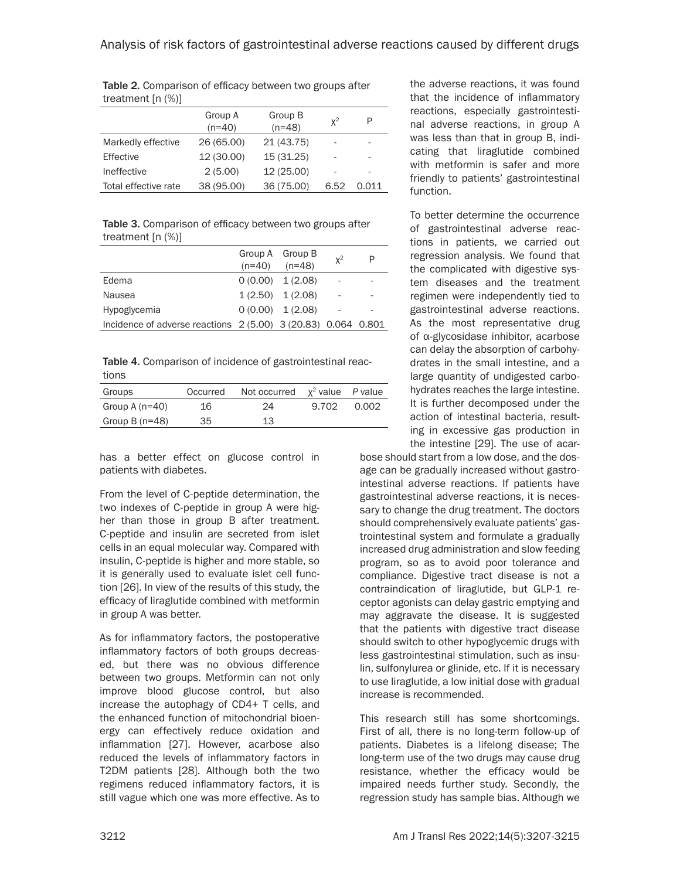|                      | Group A<br>$(n=40)$ | Group B<br>$(n=48)$ | $x^2$ | P     |
|----------------------|---------------------|---------------------|-------|-------|
| Markedly effective   | 26 (65.00)          | 21 (43.75)          |       | ۰     |
| Effective            | 12 (30.00)          | 15 (31.25)          |       |       |
| Ineffective          | 2(5.00)             | 12 (25.00)          |       |       |
| Total effective rate | 38 (95.00)          | 36 (75.00)          | 6.52  | 0.011 |

Table 2. Comparison of efficacy between two groups after treatment [n (%)]

Table 3. Comparison of efficacy between two groups after treatment [n (%)]

|                                                               | $(n=40)$ | Group A Group B<br>$(n=48)$ | $x^2$                    | P |
|---------------------------------------------------------------|----------|-----------------------------|--------------------------|---|
| Edema                                                         |          | $0(0.00)$ 1(2.08)           |                          |   |
| Nausea                                                        |          | $1(2.50)$ $1(2.08)$         | $\overline{\phantom{m}}$ |   |
| Hypoglycemia                                                  |          | $0(0.00)$ $1(2.08)$         |                          |   |
| Incidence of adverse reactions 2 (5.00) 3 (20.83) 0.064 0.801 |          |                             |                          |   |

Table 4. Comparison of incidence of gastrointestinal reactions

| Groups           | Occurred | Not occurred $x^2$ value P value |       |       |
|------------------|----------|----------------------------------|-------|-------|
| Group A $(n=40)$ | 16       | 24                               | 9.702 | 0.002 |
| Group B $(n=48)$ | 35       | 13                               |       |       |

has a better effect on glucose control in patients with diabetes.

From the level of C-peptide determination, the two indexes of C-peptide in group A were higher than those in group B after treatment. C-peptide and insulin are secreted from islet cells in an equal molecular way. Compared with insulin, C-peptide is higher and more stable, so it is generally used to evaluate islet cell function [26]. In view of the results of this study, the efficacy of liraglutide combined with metformin in group A was better.

As for inflammatory factors, the postoperative inflammatory factors of both groups decreased, but there was no obvious difference between two groups. Metformin can not only improve blood glucose control, but also increase the autophagy of CD4+ T cells, and the enhanced function of mitochondrial bioenergy can effectively reduce oxidation and inflammation [27]. However, acarbose also reduced the levels of inflammatory factors in T2DM patients [28]. Although both the two regimens reduced inflammatory factors, it is still vague which one was more effective. As to

the adverse reactions, it was found that the incidence of inflammatory reactions, especially gastrointestinal adverse reactions, in group A was less than that in group B, indicating that liraglutide combined with metformin is safer and more friendly to patients' gastrointestinal function.

To better determine the occurrence of gastrointestinal adverse reactions in patients, we carried out regression analysis. We found that the complicated with digestive system diseases and the treatment regimen were independently tied to gastrointestinal adverse reactions. As the most representative drug of α-glycosidase inhibitor, acarbose can delay the absorption of carbohydrates in the small intestine, and a large quantity of undigested carbohydrates reaches the large intestine. It is further decomposed under the action of intestinal bacteria, resulting in excessive gas production in the intestine [29]. The use of acar-

bose should start from a low dose, and the dosage can be gradually increased without gastrointestinal adverse reactions. If patients have gastrointestinal adverse reactions, it is necessary to change the drug treatment. The doctors should comprehensively evaluate patients' gastrointestinal system and formulate a gradually increased drug administration and slow feeding program, so as to avoid poor tolerance and compliance. Digestive tract disease is not a contraindication of liraglutide, but GLP-1 receptor agonists can delay gastric emptying and may aggravate the disease. It is suggested that the patients with digestive tract disease should switch to other hypoglycemic drugs with less gastrointestinal stimulation, such as insulin, sulfonylurea or glinide, etc. If it is necessary to use liraglutide, a low initial dose with gradual increase is recommended.

This research still has some shortcomings. First of all, there is no long-term follow-up of patients. Diabetes is a lifelong disease; The long-term use of the two drugs may cause drug resistance, whether the efficacy would be impaired needs further study. Secondly, the regression study has sample bias. Although we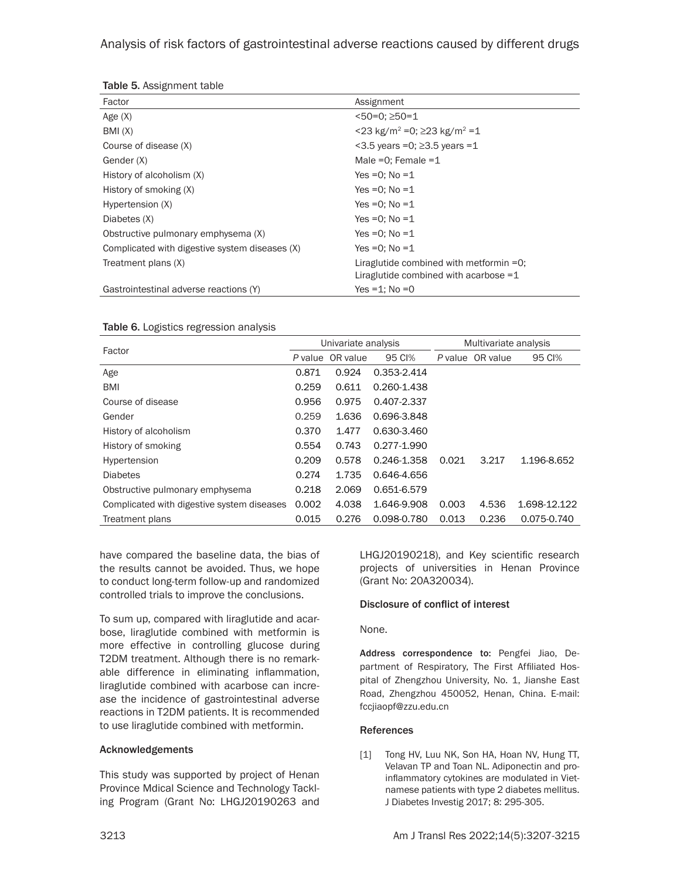# Analysis of risk factors of gastrointestinal adverse reactions caused by different drugs

| <b>ROUGE U.</b> AUSTRITUS LE COUTS             |                                                         |
|------------------------------------------------|---------------------------------------------------------|
| Factor                                         | Assignment                                              |
| Age $(X)$                                      | $<50=0$ ; $>50=1$                                       |
| BMI(X)                                         | $<$ 23 kg/m <sup>2</sup> = 0; ≥23 kg/m <sup>2</sup> = 1 |
| Course of disease (X)                          | $<$ 3.5 years = 0; $\geq$ 3.5 years = 1                 |
| Gender (X)                                     | Male = $0$ ; Female = $1$                               |
| History of alcoholism (X)                      | Yes = 0: $No = 1$                                       |
| History of smoking (X)                         | Yes = 0: $No = 1$                                       |
| Hypertension (X)                               | Yes = 0: $No = 1$                                       |
| Diabetes (X)                                   | Yes = 0: $No = 1$                                       |
| Obstructive pulmonary emphysema (X)            | Yes = 0: $No = 1$                                       |
| Complicated with digestive system diseases (X) | Yes = 0: $No = 1$                                       |
| Treatment plans (X)                            | Liraglutide combined with metformin $=0$ ;              |
|                                                | Liraglutide combined with acarbose $=1$                 |
| Gastrointestinal adverse reactions (Y)         | Yes = 1: $No = 0$                                       |

## Table 5. Assignment table

#### Table 6. Logistics regression analysis

| Factor                                     | Univariate analysis |          |             | Multivariate analysis |                  |              |
|--------------------------------------------|---------------------|----------|-------------|-----------------------|------------------|--------------|
|                                            | P value             | OR value | 95 CI%      |                       | P value OR value | 95 CI%       |
| Age                                        | 0.871               | 0.924    | 0.353-2.414 |                       |                  |              |
| <b>BMI</b>                                 | 0.259               | 0.611    | 0.260-1.438 |                       |                  |              |
| Course of disease                          | 0.956               | 0.975    | 0.407-2.337 |                       |                  |              |
| Gender                                     | 0.259               | 1.636    | 0.696-3.848 |                       |                  |              |
| History of alcoholism                      | 0.370               | 1.477    | 0.630-3.460 |                       |                  |              |
| History of smoking                         | 0.554               | 0.743    | 0.277-1.990 |                       |                  |              |
| Hypertension                               | 0.209               | 0.578    | 0.246-1.358 | 0.021                 | 3.217            | 1.196-8.652  |
| <b>Diabetes</b>                            | 0.274               | 1.735    | 0.646-4.656 |                       |                  |              |
| Obstructive pulmonary emphysema            | 0.218               | 2.069    | 0.651-6.579 |                       |                  |              |
| Complicated with digestive system diseases | 0.002               | 4.038    | 1.646-9.908 | 0.003                 | 4.536            | 1.698-12.122 |
| Treatment plans                            | 0.015               | 0.276    | 0.098-0.780 | 0.013                 | 0.236            | 0.075-0.740  |

have compared the baseline data, the bias of the results cannot be avoided. Thus, we hope to conduct long-term follow-up and randomized controlled trials to improve the conclusions.

To sum up, compared with liraglutide and acarbose, liraglutide combined with metformin is more effective in controlling glucose during T2DM treatment. Although there is no remarkable difference in eliminating inflammation, liraglutide combined with acarbose can increase the incidence of gastrointestinal adverse reactions in T2DM patients. It is recommended to use liraglutide combined with metformin.

#### Acknowledgements

This study was supported by project of Henan Province Mdical Science and Technology Tackling Program (Grant No: LHGJ20190263 and

LHGJ20190218), and Key scientific research projects of universities in Henan Province (Grant No: 20A320034).

#### Disclosure of conflict of interest

None.

Address correspondence to: Pengfei Jiao, Department of Respiratory, The First Affiliated Hospital of Zhengzhou University, No. 1, Jianshe East Road, Zhengzhou 450052, Henan, China. E-mail: [fccjiaopf@zzu.edu.cn](mailto:fccjiaopf@zzu.edu.cn)

#### References

[1] Tong HV, Luu NK, Son HA, Hoan NV, Hung TT, Velavan TP and Toan NL. Adiponectin and proinflammatory cytokines are modulated in Vietnamese patients with type 2 diabetes mellitus. J Diabetes Investig 2017; 8: 295-305.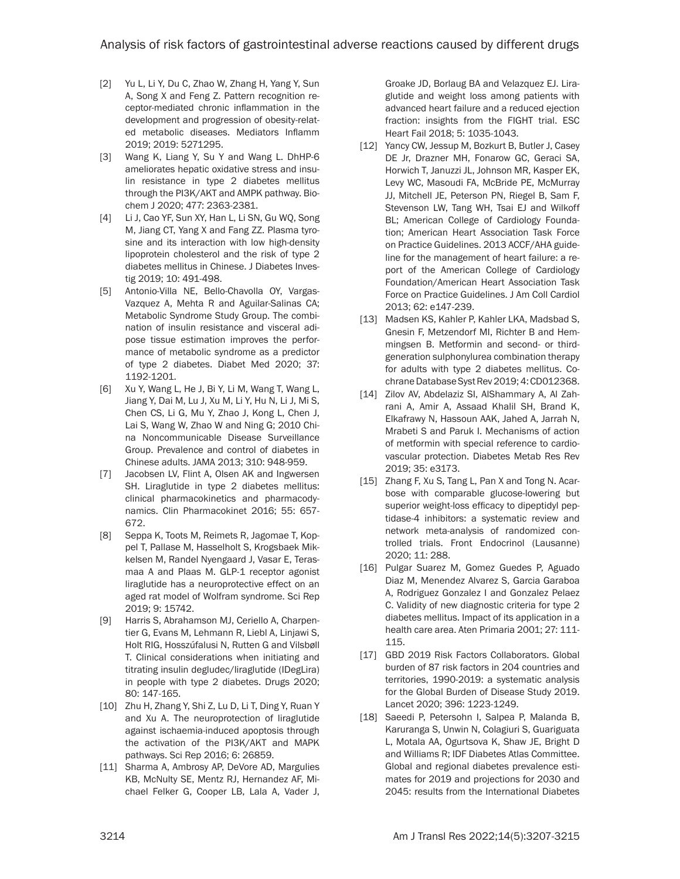- [2] Yu L, Li Y, Du C, Zhao W, Zhang H, Yang Y, Sun A, Song X and Feng Z. Pattern recognition receptor-mediated chronic inflammation in the development and progression of obesity-related metabolic diseases. Mediators Inflamm 2019; 2019: 5271295.
- [3] Wang K, Liang Y, Su Y and Wang L. DhHP-6 ameliorates hepatic oxidative stress and insulin resistance in type 2 diabetes mellitus through the PI3K/AKT and AMPK pathway. Biochem J 2020; 477: 2363-2381.
- [4] Li J, Cao YF, Sun XY, Han L, Li SN, Gu WQ, Song M, Jiang CT, Yang X and Fang ZZ. Plasma tyrosine and its interaction with low high-density lipoprotein cholesterol and the risk of type 2 diabetes mellitus in Chinese. J Diabetes Investig 2019; 10: 491-498.
- [5] Antonio-Villa NE, Bello-Chavolla OY, Vargas-Vazquez A, Mehta R and Aguilar-Salinas CA; Metabolic Syndrome Study Group. The combination of insulin resistance and visceral adipose tissue estimation improves the performance of metabolic syndrome as a predictor of type 2 diabetes. Diabet Med 2020; 37: 1192-1201.
- [6] Xu Y, Wang L, He J, Bi Y, Li M, Wang T, Wang L, Jiang Y, Dai M, Lu J, Xu M, Li Y, Hu N, Li J, Mi S, Chen CS, Li G, Mu Y, Zhao J, Kong L, Chen J, Lai S, Wang W, Zhao W and Ning G; 2010 China Noncommunicable Disease Surveillance Group. Prevalence and control of diabetes in Chinese adults. JAMA 2013; 310: 948-959.
- [7] Jacobsen LV, Flint A, Olsen AK and Ingwersen SH. Liraglutide in type 2 diabetes mellitus: clinical pharmacokinetics and pharmacodynamics. Clin Pharmacokinet 2016; 55: 657- 672.
- [8] Seppa K, Toots M, Reimets R, Jagomae T, Koppel T, Pallase M, Hasselholt S, Krogsbaek Mikkelsen M, Randel Nyengaard J, Vasar E, Terasmaa A and Plaas M. GLP-1 receptor agonist liraglutide has a neuroprotective effect on an aged rat model of Wolfram syndrome. Sci Rep 2019; 9: 15742.
- [9] Harris S, Abrahamson MJ, Ceriello A, Charpentier G, Evans M, Lehmann R, Liebl A, Linjawi S, Holt RIG, Hosszúfalusi N, Rutten G and Vilsbøll T. Clinical considerations when initiating and titrating insulin degludec/liraglutide (IDegLira) in people with type 2 diabetes. Drugs 2020; 80: 147-165.
- [10] Zhu H, Zhang Y, Shi Z, Lu D, Li T, Ding Y, Ruan Y and Xu A. The neuroprotection of liraglutide against ischaemia-induced apoptosis through the activation of the PI3K/AKT and MAPK pathways. Sci Rep 2016; 6: 26859.
- [11] Sharma A, Ambrosy AP, DeVore AD, Margulies KB, McNulty SE, Mentz RJ, Hernandez AF, Michael Felker G, Cooper LB, Lala A, Vader J,

Groake JD, Borlaug BA and Velazquez EJ. Liraglutide and weight loss among patients with advanced heart failure and a reduced ejection fraction: insights from the FIGHT trial. ESC Heart Fail 2018; 5: 1035-1043.

- [12] Yancy CW, Jessup M, Bozkurt B, Butler J, Casey DE Jr, Drazner MH, Fonarow GC, Geraci SA, Horwich T, Januzzi JL, Johnson MR, Kasper EK, Levy WC, Masoudi FA, McBride PE, McMurray JJ, Mitchell JE, Peterson PN, Riegel B, Sam F, Stevenson LW, Tang WH, Tsai EJ and Wilkoff BL; American College of Cardiology Foundation; American Heart Association Task Force on Practice Guidelines. 2013 ACCF/AHA guideline for the management of heart failure: a report of the American College of Cardiology Foundation/American Heart Association Task Force on Practice Guidelines. J Am Coll Cardiol 2013; 62: e147-239.
- [13] Madsen KS, Kahler P, Kahler LKA, Madsbad S, Gnesin F, Metzendorf MI, Richter B and Hemmingsen B. Metformin and second- or thirdgeneration sulphonylurea combination therapy for adults with type 2 diabetes mellitus. Cochrane Database Syst Rev 2019; 4: CD012368.
- [14] Zilov AV, Abdelaziz SI, AlShammary A, Al Zahrani A, Amir A, Assaad Khalil SH, Brand K, Elkafrawy N, Hassoun AAK, Jahed A, Jarrah N, Mrabeti S and Paruk I. Mechanisms of action of metformin with special reference to cardiovascular protection. Diabetes Metab Res Rev 2019; 35: e3173.
- [15] Zhang F, Xu S, Tang L, Pan X and Tong N. Acarbose with comparable glucose-lowering but superior weight-loss efficacy to dipeptidyl peptidase-4 inhibitors: a systematic review and network meta-analysis of randomized controlled trials. Front Endocrinol (Lausanne) 2020; 11: 288.
- [16] Pulgar Suarez M, Gomez Guedes P, Aguado Diaz M, Menendez Alvarez S, Garcia Garaboa A, Rodriguez Gonzalez I and Gonzalez Pelaez C. Validity of new diagnostic criteria for type 2 diabetes mellitus. Impact of its application in a health care area. Aten Primaria 2001; 27: 111- 115.
- [17] GBD 2019 Risk Factors Collaborators. Global burden of 87 risk factors in 204 countries and territories, 1990-2019: a systematic analysis for the Global Burden of Disease Study 2019. Lancet 2020; 396: 1223-1249.
- [18] Saeedi P, Petersohn I, Salpea P, Malanda B, Karuranga S, Unwin N, Colagiuri S, Guariguata L, Motala AA, Ogurtsova K, Shaw JE, Bright D and Williams R; IDF Diabetes Atlas Committee. Global and regional diabetes prevalence estimates for 2019 and projections for 2030 and 2045: results from the International Diabetes